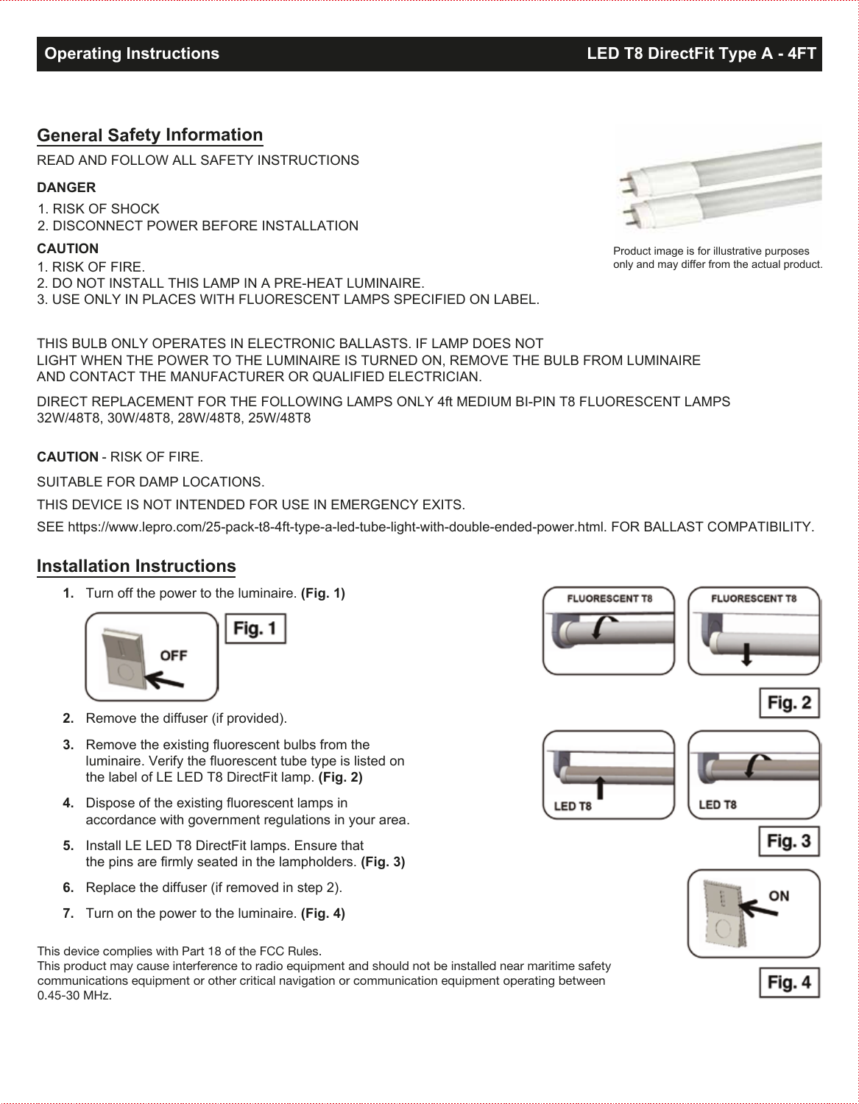## **General Safety Information**

READ AND FOLLOW ALL SAFETY INSTRUCTIONS

#### **DANGER**

1. RISK OF SHOCK 2. DISCONNECT POWER BEFORE INSTALLATION

#### **CAUTION**

- 1. RISK OF FIRE.
- 2. DO NOT INSTALL THIS LAMP IN A PRE-HEAT LUMINAIRE.
- 3. USE ONLY IN PLACES WITH FLUORESCENT LAMPS SPECIFIED ON LABEL.

THIS BULB ONLY OPERATES IN ELECTRONIC BALLASTS. IF LAMP DOES NOT LIGHT WHEN THE POWER TO THE LUMINAIRE IS TURNED ON, REMOVE THE BULB FROM LUMINAIRE AND CONTACT THE MANUFACTURER OR QUALIFIED ELECTRICIAN.

DIRECT REPLACEMENT FOR THE FOLLOWING LAMPS ONLY 4ft MEDIUM BI-PIN T8 FLUORESCENT LAMPS 32W/48T8, 30W/48T8, 28W/48T8, 25W/48T8

**CAUTION** - RISK OF FIRE.

SUITABLE FOR DAMP LOCATIONS.

THIS DEVICE IS NOT INTENDED FOR USE IN EMERGENCY EXITS.

SEE https://www.lepro.com/25-pack-t8-4ft-type-a-led-tube-light-with-double-ended-power.html. FOR BALLAST COMPATIBILITY.

### **Installation Instructions**

**1.** Turn off the power to the luminaire. **(Fig. 1)**



- **2.** Remove the diffuser (if provided).
- **3.** Remove the existing fluorescent bulbs from the luminaire. Verify the fluorescent tube type is listed on the label of LE LED T8 DirectFit lamp. **(Fig. 2)**
- **4.** Dispose of the existing fluorescent lamps in accordance with government regulations in your area.
- **5.** Install LE LED T8 DirectFit lamps. Ensure that the pins are firmly seated in the lampholders. **(Fig. 3)**
- **6.** Replace the diffuser (if removed in step 2).
- **7.** Turn on the power to the luminaire. **(Fig. 4)**

This device complies with Part 18 of the FCC Rules.

This product may cause interference to radio equipment and should not be installed near maritime safety communications equipment or other critical navigation or communication equipment operating between 0.45-30 MHz.



Product image is for illustrative purposes only and may differ from the actual product.













**Operating Instructions LED T8 DirectFit Type A - 4FT**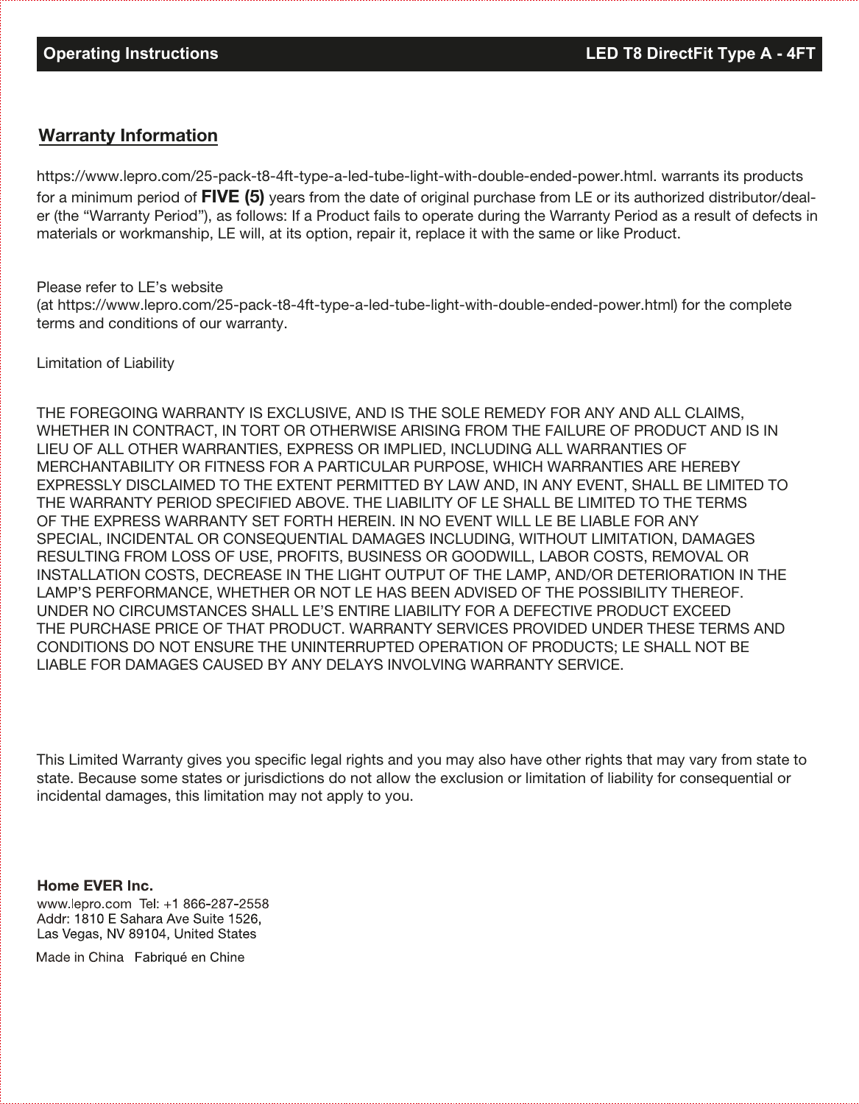## Warranty Information

https://www.lepro.com/25-pack-t8-4ft-type-a-led-tube-light-with-double-ended-power.html. warrants its products for a minimum period of  $FIVE$  (5) years from the date of original purchase from LE or its authorized distributor/dealer (the "Warranty Period"), as follows: If a Product fails to operate during the Warranty Period as a result of defects in materials or workmanship, LE will, at its option, repair it, replace it with the same or like Product.

#### Please refer to LE's website

(at https://www.lepro.com/25-pack-t8-4ft-type-a-led-tube-light-with-double-ended-power.html) for the complete terms and conditions of our warranty.

Limitation of Liability

THE FOREGOING WARRANTY IS EXCLUSIVE, AND IS THE SOLE REMEDY FOR ANY AND ALL CLAIMS, WHETHER IN CONTRACT, IN TORT OR OTHERWISE ARISING FROM THE FAILURE OF PRODUCT AND IS IN LIEU OF ALL OTHER WARRANTIES, EXPRESS OR IMPLIED, INCLUDING ALL WARRANTIES OF MERCHANTABILITY OR FITNESS FOR A PARTICULAR PURPOSE, WHICH WARRANTIES ARE HEREBY EXPRESSLY DISCLAIMED TO THE EXTENT PERMITTED BY LAW AND, IN ANY EVENT, SHALL BE LIMITED TO THE WARRANTY PERIOD SPECIFIED ABOVE. THE LIABILITY OF LE SHALL BE LIMITED TO THE TERMS OF THE EXPRESS WARRANTY SET FORTH HEREIN. IN NO EVENT WILL LE BE LIABLE FOR ANY SPECIAL, INCIDENTAL OR CONSEQUENTIAL DAMAGES INCLUDING, WITHOUT LIMITATION, DAMAGES RESULTING FROM LOSS OF USE, PROFITS, BUSINESS OR GOODWILL, LABOR COSTS, REMOVAL OR INSTALLATION COSTS, DECREASE IN THE LIGHT OUTPUT OF THE LAMP, AND/OR DETERIORATION IN THE LAMP'S PERFORMANCE, WHETHER OR NOT LE HAS BEEN ADVISED OF THE POSSIBILITY THEREOF. UNDER NO CIRCUMSTANCES SHALL LE'S ENTIRE LIABILITY FOR A DEFECTIVE PRODUCT EXCEED THE PURCHASE PRICE OF THAT PRODUCT. WARRANTY SERVICES PROVIDED UNDER THESE TERMS AND CONDITIONS DO NOT ENSURE THE UNINTERRUPTED OPERATION OF PRODUCTS; LE SHALL NOT BE LIABLE FOR DAMAGES CAUSED BY ANY DELAYS INVOLVING WARRANTY SERVICE.

This Limited Warranty gives you specific legal rights and you may also have other rights that may vary from state to state. Because some states or jurisdictions do not allow the exclusion or limitation of liability for consequential or incidental damages, this limitation may not apply to you.

#### Home EVER Inc.

www.lepro.com Tel: +1 866-287-2558 Addr: 1810 E Sahara Ave Suite 1526, Las Vegas, NV 89104, United States

Made in China Fabriqué en Chine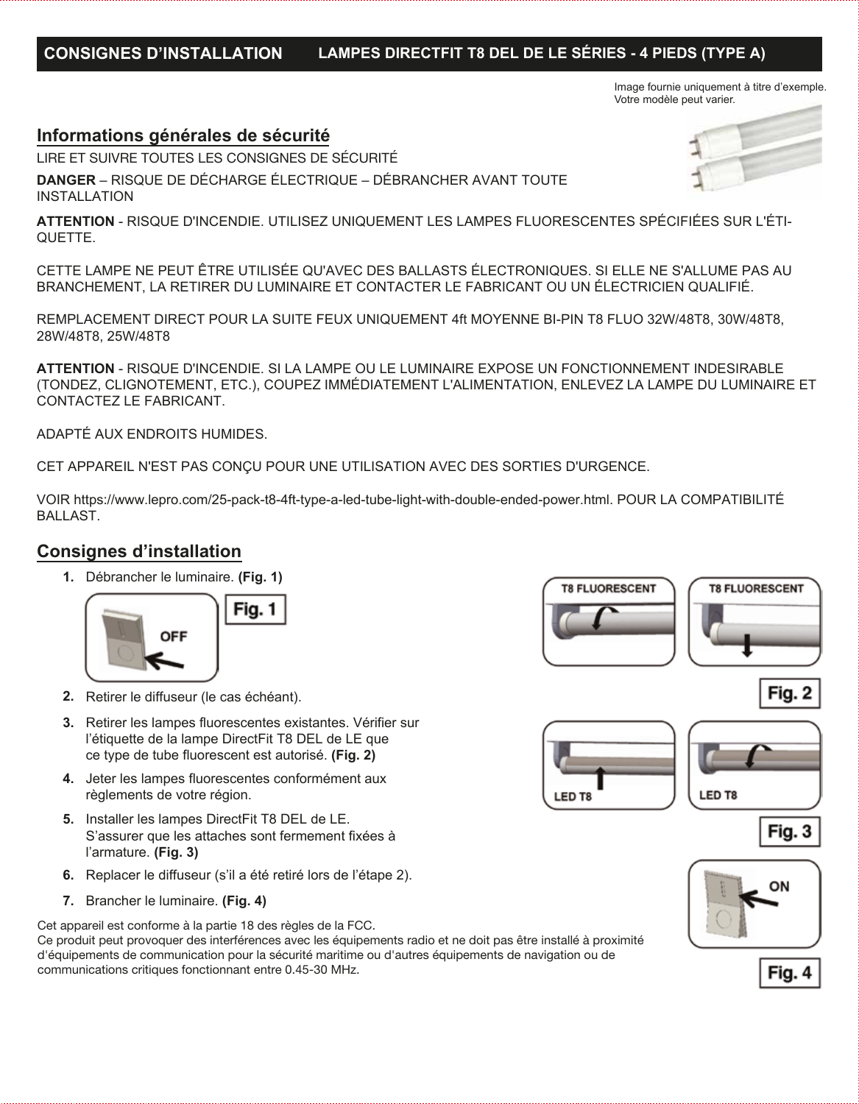# **CONSIGNES D'INSTALLATION LAMPES DIRECTFIT T8 DEL DE LE SÉRIES - 4 PIEDS (TYPE A)**

Image fournie uniquement à titre d'exemple. Votre modèle peut varier.

### **Informations générales de sécurité**

LIRE ET SUIVRE TOUTES LES CONSIGNES DE SÉCURITÉ

**DANGER** – RISQUE DE DÉCHARGE ÉLECTRIQUE – DÉBRANCHER AVANT TOUTE INSTALLATION

**ATTENTION** - RISQUE D'INCENDIE. UTILISEZ UNIQUEMENT LES LAMPES FLUORESCENTES SPÉCIFIÉES SUR L'ÉTI-QUETTE.

CETTE LAMPE NE PEUT ÊTRE UTILISÉE QU'AVEC DES BALLASTS ÉLECTRONIQUES. SI ELLE NE S'ALLUME PAS AU BRANCHEMENT, LA RETIRER DU LUMINAIRE ET CONTACTER LE FABRICANT OU UN ÉLECTRICIEN QUALIFIÉ.

REMPLACEMENT DIRECT POUR LA SUITE FEUX UNIQUEMENT 4ft MOYENNE BI-PIN T8 FLUO 32W/48T8, 30W/48T8, 28W/48T8, 25W/48T8

**ATTENTION** - RISQUE D'INCENDIE. SI LA LAMPE OU LE LUMINAIRE EXPOSE UN FONCTIONNEMENT INDESIRABLE (TONDEZ, CLIGNOTEMENT, ETC.), COUPEZ IMMÉDIATEMENT L'ALIMENTATION, ENLEVEZ LA LAMPE DU LUMINAIRE ET CONTACTEZ LE FABRICANT.

ADAPTÉ AUX ENDROITS HUMIDES.

CET APPAREIL N'EST PAS CONÇU POUR UNE UTILISATION AVEC DES SORTIES D'URGENCE.

VOIR https://www.lepro.com/25-pack-t8-4ft-type-a-led-tube-light-with-double-ended-power.html. POUR LA COMPATIBILITÉ BALLAST.

## **Consignes d'installation**

**1.** Débrancher le luminaire. **(Fig. 1)** 



- **2.** Retirer le diffuseur (le cas échéant).
- **3.** Retirer les lampes fluorescentes existantes. Vérifier sur l'étiquette de la lampe DirectFit T8 DEL de LE que ce type de tube fluorescent est autorisé. **(Fig. 2)**
- **4.** Jeter les lampes fluorescentes conformément aux règlements de votre région.
- **5.** Installer les lampes DirectFit T8 DEL de LE. S'assurer que les attaches sont fermement fixées à l'armature. **(Fig. 3)**
- **6.** Replacer le diffuseur (s'il a été retiré lors de l'étape 2).
- Brancher le luminaire. **(Fig. 4) 7.**

Cet appareil est conforme à la partie 18 des règles de la FCC.

Ce produit peut provoquer des interférences avec les équipements radio et ne doit pas être installé à proximité d'équipements de communication pour la sécurité maritime ou d'autres équipements de navigation ou de communications critiques fonctionnant entre 0.45-30 MHz.











Fig. 4

Fig. 3